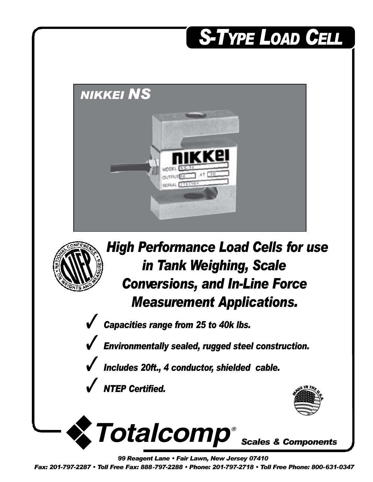

*99 Reagent Lane • Fair Lawn, New Jersey 07410*

*Fax: 201-797-2287 • Toll Free Fax: 888-797-2288 • Phone: 201-797-2718 • Toll Free Phone: 800-631-0347*